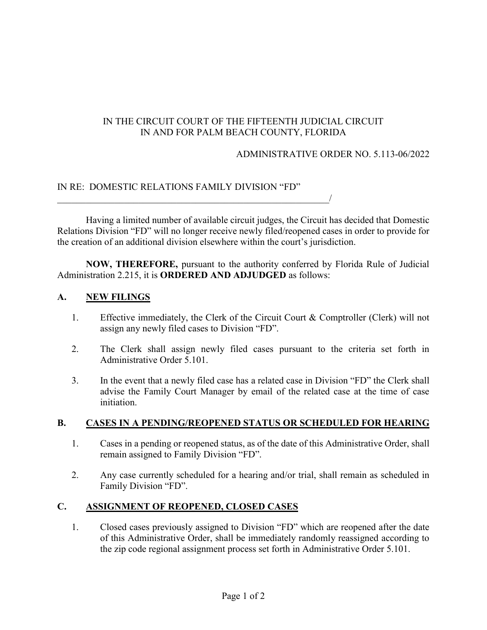# IN THE CIRCUIT COURT OF THE FIFTEENTH JUDICIAL CIRCUIT IN AND FOR PALM BEACH COUNTY, FLORIDA

### ADMINISTRATIVE ORDER NO. 5.113-06/2022

## IN RE: DOMESTIC RELATIONS FAMILY DIVISION "FD"

 $\overline{\phantom{a}}$ 

Having a limited number of available circuit judges, the Circuit has decided that Domestic Relations Division "FD" will no longer receive newly filed/reopened cases in order to provide for the creation of an additional division elsewhere within the court's jurisdiction.

**NOW, THEREFORE,** pursuant to the authority conferred by Florida Rule of Judicial Administration 2.215, it is **ORDERED AND ADJUDGED** as follows:

### **A. NEW FILINGS**

- 1. Effective immediately, the Clerk of the Circuit Court & Comptroller (Clerk) will not assign any newly filed cases to Division "FD".
- 2. The Clerk shall assign newly filed cases pursuant to the criteria set forth in Administrative Order 5.101.
- 3. In the event that a newly filed case has a related case in Division "FD" the Clerk shall advise the Family Court Manager by email of the related case at the time of case initiation.

## **B. CASES IN A PENDING/REOPENED STATUS OR SCHEDULED FOR HEARING**

- 1. Cases in a pending or reopened status, as of the date of this Administrative Order, shall remain assigned to Family Division "FD".
- 2. Any case currently scheduled for a hearing and/or trial, shall remain as scheduled in Family Division "FD".

## **C. ASSIGNMENT OF REOPENED, CLOSED CASES**

1. Closed cases previously assigned to Division "FD" which are reopened after the date of this Administrative Order, shall be immediately randomly reassigned according to the zip code regional assignment process set forth in Administrative Order 5.101.